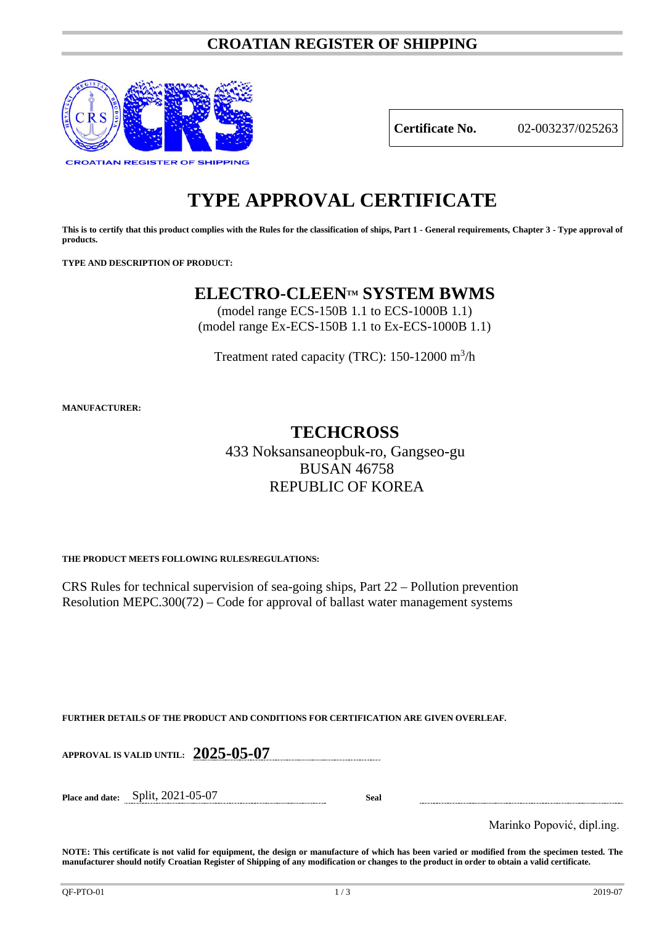# **CROATIAN REGISTER OF SHIPPING**



**Certificate No.** 02-003237/025263

# **TYPE APPROVAL CERTIFICATE**

**This is to certify that this product complies with the Rules for the classification of ships, Part 1 - General requirements, Chapter 3 - Type approval of products.**

**TYPE AND DESCRIPTION OF PRODUCT:** 

# **ELECTRO-CLEENTM SYSTEM BWMS**

(model range ECS-150B 1.1 to ECS-1000B 1.1) (model range Ex-ECS-150B 1.1 to Ex-ECS-1000B 1.1)

Treatment rated capacity (TRC): 150-12000 m<sup>3</sup>/h

**MANUFACTURER:**

# **TECHCROSS**

433 Noksansaneopbuk-ro, Gangseo-gu BUSAN 46758 REPUBLIC OF KOREA

**THE PRODUCT MEETS FOLLOWING RULES/REGULATIONS:**

CRS Rules for technical supervision of sea-going ships, Part 22 – Pollution prevention Resolution MEPC.300(72) – Code for approval of ballast water management systems

**FURTHER DETAILS OF THE PRODUCT AND CONDITIONS FOR CERTIFICATION ARE GIVEN OVERLEAF.**

**APPROVAL IS VALID UNTIL: 2025-05-07**

**Place and date:** Split, 2021-05-07 **Seal**

Marinko Popović, dipl.ing.

**NOTE: This certificate is not valid for equipment, the design or manufacture of which has been varied or modified from the specimen tested. The manufacturer should notify Croatian Register of Shipping of any modification or changes to the product in order to obtain a valid certificate.**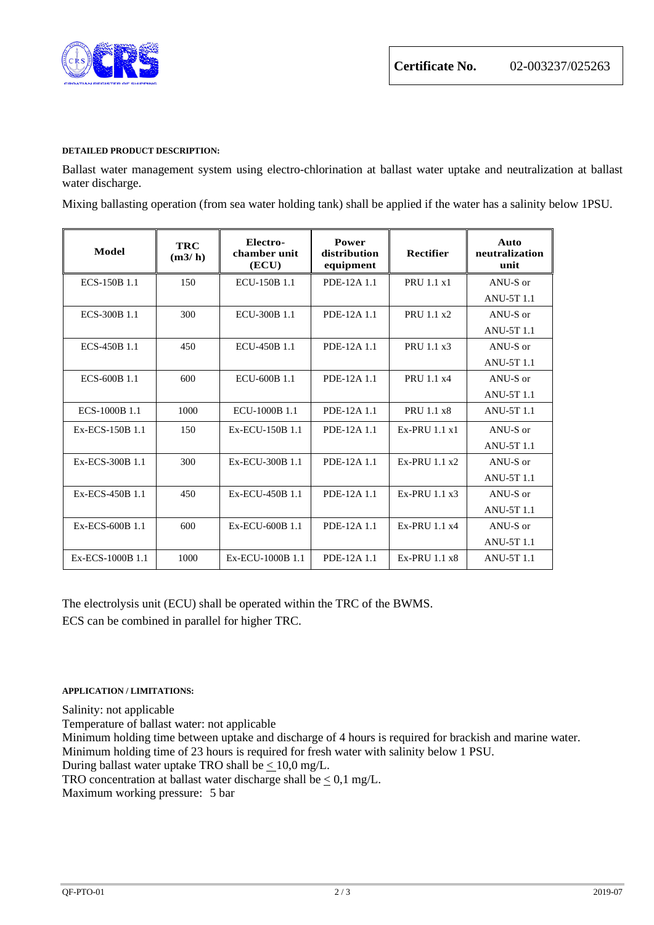

## **DETAILED PRODUCT DESCRIPTION:**

Ballast water management system using electro-chlorination at ballast water uptake and neutralization at ballast water discharge.

Mixing ballasting operation (from sea water holding tank) shall be applied if the water has a salinity below 1PSU.

| Model            | <b>TRC</b><br>(m3/h) | Electro-<br>chamber unit<br>(ECU) | Power<br>distribution<br>equipment | <b>Rectifier</b> | Auto<br>neutralization<br>unit |
|------------------|----------------------|-----------------------------------|------------------------------------|------------------|--------------------------------|
| ECS-150B 1.1     | 150                  | ECU-150B 1.1                      | PDE-12A 1.1                        | PRU 1.1 x1       | ANU-S or                       |
|                  |                      |                                   |                                    |                  | <b>ANU-5T 1.1</b>              |
| ECS-300B 1.1     | 300                  | ECU-300B 1.1                      | PDE-12A 1.1                        | PRU 1.1 x2       | ANU-S or                       |
|                  |                      |                                   |                                    |                  | <b>ANU-5T 1.1</b>              |
| ECS-450B 1.1     | 450                  | ECU-450B 1.1                      | PDE-12A 1.1                        | PRU 1.1 x3       | ANU-S or                       |
|                  |                      |                                   |                                    |                  | <b>ANU-5T 1.1</b>              |
| ECS-600B 1.1     | 600                  | ECU-600B 1.1                      | PDE-12A 1.1                        | PRU 1.1 x4       | ANU-S or                       |
|                  |                      |                                   |                                    |                  | <b>ANU-5T 1.1</b>              |
| ECS-1000B 1.1    | 1000                 | ECU-1000B 1.1                     | PDE-12A 1.1                        | PRU 1.1 x8       | <b>ANU-5T 1.1</b>              |
| Ex-ECS-150B 1.1  | 150                  | Ex-ECU-150B 1.1                   | PDE-12A 1.1                        | $Ex-PRIJ1.1x1$   | ANU-S or                       |
|                  |                      |                                   |                                    |                  | <b>ANU-5T 1.1</b>              |
| Ex-ECS-300B 1.1  | 300                  | Ex-ECU-300B 1.1                   | PDE-12A 1.1                        | $Ex-PRIJ1.1 x2$  | ANU-S or                       |
|                  |                      |                                   |                                    |                  | <b>ANU-5T 1.1</b>              |
| Ex-ECS-450B 1.1  | 450                  | Ex-ECU-450B 1.1                   | PDE-12A 1.1                        | $Ex-PRIJ1.1 x3$  | ANU-S or                       |
|                  |                      |                                   |                                    |                  | <b>ANU-5T 1.1</b>              |
| Ex-ECS-600B 1.1  | 600                  | Ex-ECU-600B 1.1                   | PDE-12A 1.1                        | Ex-PRU 1.1 x4    | ANU-S or                       |
|                  |                      |                                   |                                    |                  | <b>ANU-5T 1.1</b>              |
| Ex-ECS-1000B 1.1 | 1000                 | Ex-ECU-1000B 1.1                  | PDE-12A 1.1                        | $Ex-PRIJ1.1 x8$  | <b>ANU-5T 1.1</b>              |

The electrolysis unit (ECU) shall be operated within the TRC of the BWMS. ECS can be combined in parallel for higher TRC.

# **APPLICATION / LIMITATIONS:**

Salinity: not applicable

Temperature of ballast water: not applicable

Minimum holding time between uptake and discharge of 4 hours is required for brackish and marine water. Minimum holding time of 23 hours is required for fresh water with salinity below 1 PSU.

During ballast water uptake TRO shall be  $\leq 10.0$  mg/L.

TRO concentration at ballast water discharge shall be  $\leq 0.1$  mg/L.

Maximum working pressure: 5 bar